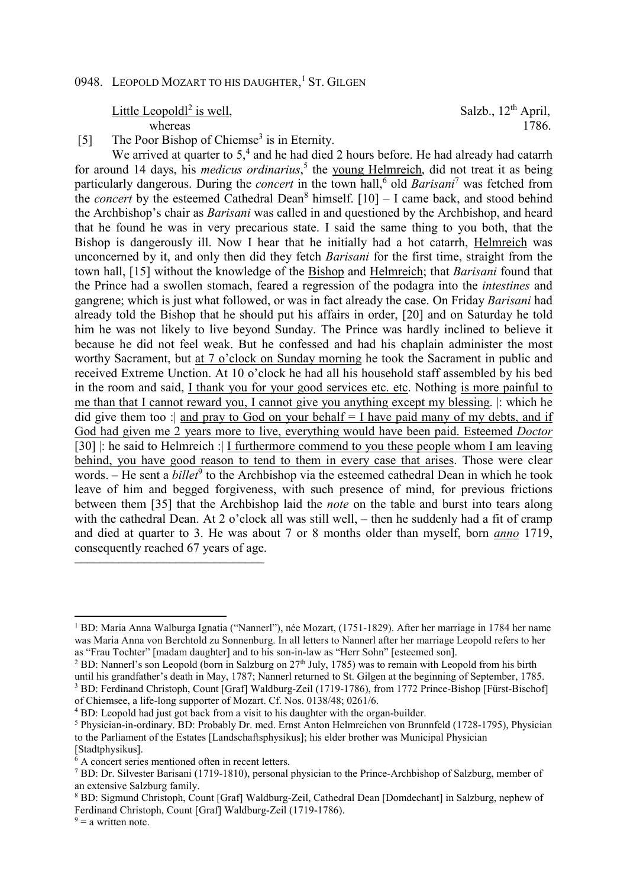Little Leopold $l^2$  is well,

Salzb.,  $12<sup>th</sup>$  April, whereas 1786.

[5] The Poor Bishop of Chiemse<sup>3</sup> is in Eternity.

We arrived at quarter to  $5<sup>4</sup>$  and he had died 2 hours before. He had already had catarrh for around 14 days, his *medicus ordinarius*, 5 the young Helmreich, did not treat it as being particularly dangerous. During the *concert* in the town hall,<sup>6</sup> old *Barisani*<sup>7</sup> was fetched from the *concert* by the esteemed Cathedral Dean<sup>8</sup> himself. [10] - I came back, and stood behind the Archbishop's chair as *Barisani* was called in and questioned by the Archbishop, and heard that he found he was in very precarious state. I said the same thing to you both, that the Bishop is dangerously ill. Now I hear that he initially had a hot catarrh, Helmreich was unconcerned by it, and only then did they fetch *Barisani* for the first time, straight from the town hall, [15] without the knowledge of the Bishop and Helmreich; that *Barisani* found that the Prince had a swollen stomach, feared a regression of the podagra into the *intestines* and gangrene; which is just what followed, or was in fact already the case. On Friday *Barisani* had already told the Bishop that he should put his affairs in order, [20] and on Saturday he told him he was not likely to live beyond Sunday. The Prince was hardly inclined to believe it because he did not feel weak. But he confessed and had his chaplain administer the most worthy Sacrament, but at 7 o'clock on Sunday morning he took the Sacrament in public and received Extreme Unction. At 10 o'clock he had all his household staff assembled by his bed in the room and said, I thank you for your good services etc. etc. Nothing is more painful to me than that I cannot reward you, I cannot give you anything except my blessing. |: which he did give them too : and pray to God on your behalf  $= I$  have paid many of my debts, and if God had given me 2 years more to live, everything would have been paid. Esteemed *Doctor* [30] : he said to Helmreich : I furthermore commend to you these people whom I am leaving behind, you have good reason to tend to them in every case that arises. Those were clear words. – He sent a *billet*<sup>9</sup> to the Archbishop via the esteemed cathedral Dean in which he took leave of him and begged forgiveness, with such presence of mind, for previous frictions between them [35] that the Archbishop laid the *note* on the table and burst into tears along with the cathedral Dean. At 2 o'clock all was still well, – then he suddenly had a fit of cramp and died at quarter to 3. He was about 7 or 8 months older than myself, born *anno* 1719, consequently reached 67 years of age.

<sup>4</sup> BD: Leopold had just got back from a visit to his daughter with the organ-builder.

––––––––––––––––––––––––––––––

 $9 = a$  written note.

 $\overline{a}$ 

<sup>1</sup> BD: Maria Anna Walburga Ignatia ("Nannerl"), née Mozart, (1751-1829). After her marriage in 1784 her name was Maria Anna von Berchtold zu Sonnenburg. In all letters to Nannerl after her marriage Leopold refers to her as "Frau Tochter" [madam daughter] and to his son-in-law as "Herr Sohn" [esteemed son].

<sup>&</sup>lt;sup>2</sup> BD: Nannerl's son Leopold (born in Salzburg on  $27<sup>th</sup>$  July, 1785) was to remain with Leopold from his birth until his grandfather's death in May, 1787; Nannerl returned to St. Gilgen at the beginning of September, 1785. <sup>3</sup> BD: Ferdinand Christoph, Count [Graf] Waldburg-Zeil (1719-1786), from 1772 Prince-Bishop [Fürst-Bischof] of Chiemsee, a life-long supporter of Mozart. Cf. Nos. 0138/48; 0261/6.

<sup>&</sup>lt;sup>5</sup> Physician-in-ordinary. BD: Probably Dr. med. Ernst Anton Helmreichen von Brunnfeld (1728-1795), Physician to the Parliament of the Estates [Landschaftsphysikus]; his elder brother was Municipal Physician [Stadtphysikus].

<sup>&</sup>lt;sup>6</sup> A concert series mentioned often in recent letters.

<sup>&</sup>lt;sup>7</sup> BD: Dr. Silvester Barisani (1719-1810), personal physician to the Prince-Archbishop of Salzburg, member of an extensive Salzburg family.

<sup>&</sup>lt;sup>8</sup> BD: Sigmund Christoph, Count [Graf] Waldburg-Zeil, Cathedral Dean [Domdechant] in Salzburg, nephew of Ferdinand Christoph, Count [Graf] Waldburg-Zeil (1719-1786).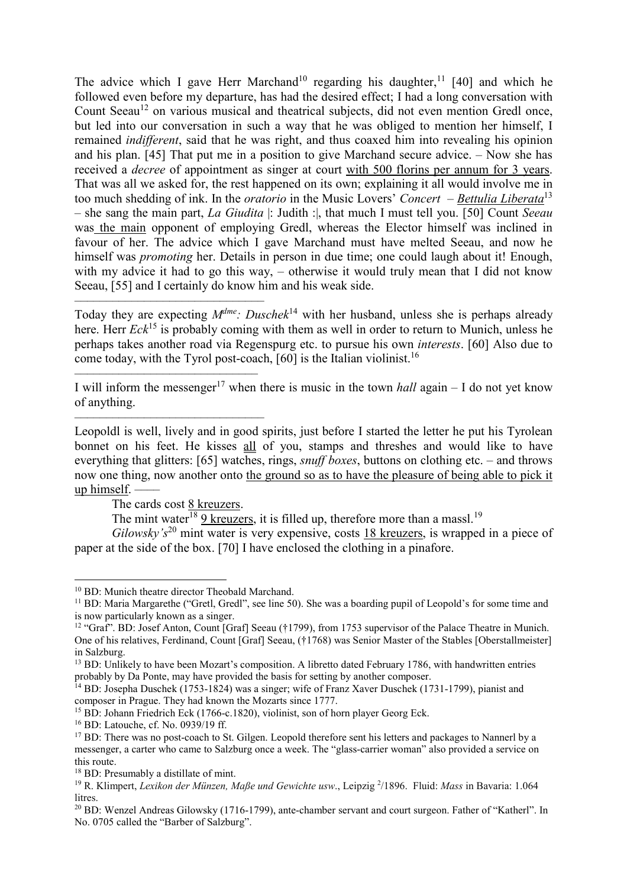The advice which I gave Herr Marchand<sup>10</sup> regarding his daughter,<sup>11</sup> [40] and which he followed even before my departure, has had the desired effect; I had a long conversation with Count Seeau<sup>12</sup> on various musical and theatrical subjects, did not even mention Gredl once, but led into our conversation in such a way that he was obliged to mention her himself, I remained *indifferent*, said that he was right, and thus coaxed him into revealing his opinion and his plan. [45] That put me in a position to give Marchand secure advice. – Now she has received a *decree* of appointment as singer at court with 500 florins per annum for 3 years. That was all we asked for, the rest happened on its own; explaining it all would involve me in too much shedding of ink. In the *oratorio* in the Music Lovers' *Concert* – *Bettulia Liberata*<sup>13</sup> – she sang the main part, *La Giudita* |: Judith :|, that much I must tell you. [50] Count *Seeau* was the main opponent of employing Gredl, whereas the Elector himself was inclined in favour of her. The advice which I gave Marchand must have melted Seeau, and now he himself was *promoting* her. Details in person in due time; one could laugh about it! Enough, with my advice it had to go this way, – otherwise it would truly mean that I did not know Seeau, [55] and I certainly do know him and his weak side.

–––––––––––––––––––––––––––––– Today they are expecting *Mdme: Duschek*<sup>14</sup> with her husband, unless she is perhaps already here. Herr *Eck*<sup>15</sup> is probably coming with them as well in order to return to Munich, unless he perhaps takes another road via Regenspurg etc. to pursue his own *interests*. [60] Also due to come today, with the Tyrol post-coach,  $[60]$  is the Italian violinist.<sup>16</sup>

I will inform the messenger<sup>17</sup> when there is music in the town *hall* again  $-$  I do not yet know of anything.

Leopoldl is well, lively and in good spirits, just before I started the letter he put his Tyrolean bonnet on his feet. He kisses all of you, stamps and threshes and would like to have everything that glitters: [65] watches, rings, *snuff boxes*, buttons on clothing etc. – and throws now one thing, now another onto the ground so as to have the pleasure of being able to pick it up himself. ––––

The cards cost 8 kreuzers.

–––––––––––––––––––––––––––––

––––––––––––––––––––––––––––––

The mint water<sup>18</sup>  $9$  kreuzers, it is filled up, therefore more than a massl.<sup>19</sup>

*Gilowsky's*<sup>20</sup> mint water is very expensive, costs 18 kreuzers, is wrapped in a piece of paper at the side of the box. [70] I have enclosed the clothing in a pinafore.

l

<sup>&</sup>lt;sup>10</sup> BD: Munich theatre director Theobald Marchand.

<sup>11</sup> BD: Maria Margarethe ("Gretl, Gredl", see line 50). She was a boarding pupil of Leopold's for some time and is now particularly known as a singer.

<sup>&</sup>lt;sup>12</sup> "Graf". BD: Josef Anton, Count [Graf] Seeau (†1799), from 1753 supervisor of the Palace Theatre in Munich. One of his relatives, Ferdinand, Count [Graf] Seeau, (†1768) was Senior Master of the Stables [Oberstallmeister] in Salzburg.

<sup>&</sup>lt;sup>13</sup> BD: Unlikely to have been Mozart's composition. A libretto dated February 1786, with handwritten entries probably by Da Ponte, may have provided the basis for setting by another composer.

<sup>&</sup>lt;sup>14</sup> BD: Josepha Duschek (1753-1824) was a singer; wife of Franz Xaver Duschek (1731-1799), pianist and composer in Prague. They had known the Mozarts since 1777.

<sup>15</sup> BD: Johann Friedrich Eck (1766-c.1820), violinist, son of horn player Georg Eck.

<sup>16</sup> BD: Latouche, cf. No. 0939/19 ff.

<sup>&</sup>lt;sup>17</sup> BD: There was no post-coach to St. Gilgen. Leopold therefore sent his letters and packages to Nannerl by a messenger, a carter who came to Salzburg once a week. The "glass-carrier woman" also provided a service on this route.

<sup>18</sup> BD: Presumably a distillate of mint.

<sup>19</sup> R. Klimpert, *Lexikon der Münzen, Maße und Gewichte usw*., Leipzig <sup>2</sup> /1896. Fluid: *Mass* in Bavaria: 1.064 litres.

<sup>&</sup>lt;sup>20</sup> BD: Wenzel Andreas Gilowsky (1716-1799), ante-chamber servant and court surgeon. Father of "Katherl". In No. 0705 called the "Barber of Salzburg".